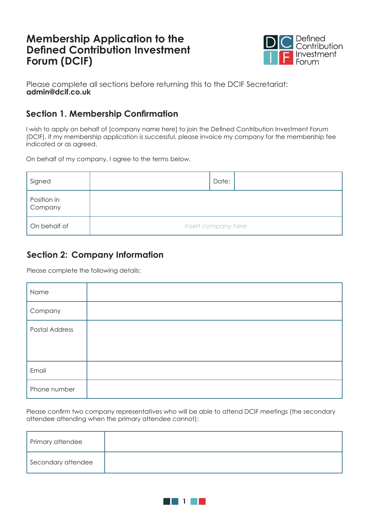# **Membership Application to the Defined Contribution Investment Forum (DCIF)**



Please complete all sections before returning this to the DCIF Secretariat: **admin@dcif.co.uk**

### **Section 1. Membership Confirmation**

I wish to apply on behalf of [company name here] to join the Defined Contribution Investment Forum (DCIF). If my membership application is successful, please invoice my company for the membership fee indicated or as agreed.

On behalf of my company, I agree to the terms below.

| Signed                 | Date:               |
|------------------------|---------------------|
| Position in<br>Company |                     |
| On behalf of           | Insert company here |

### **Section 2: Company Information**

Please complete the following details:

| Name                  |  |
|-----------------------|--|
| Company               |  |
| <b>Postal Address</b> |  |
|                       |  |
| Email                 |  |
| Phone number          |  |

Please confirm two company representatives who will be able to attend DCIF meetings (the secondary attendee attending when the primary attendee cannot):

| Primary attendee   |  |
|--------------------|--|
| Secondary attendee |  |